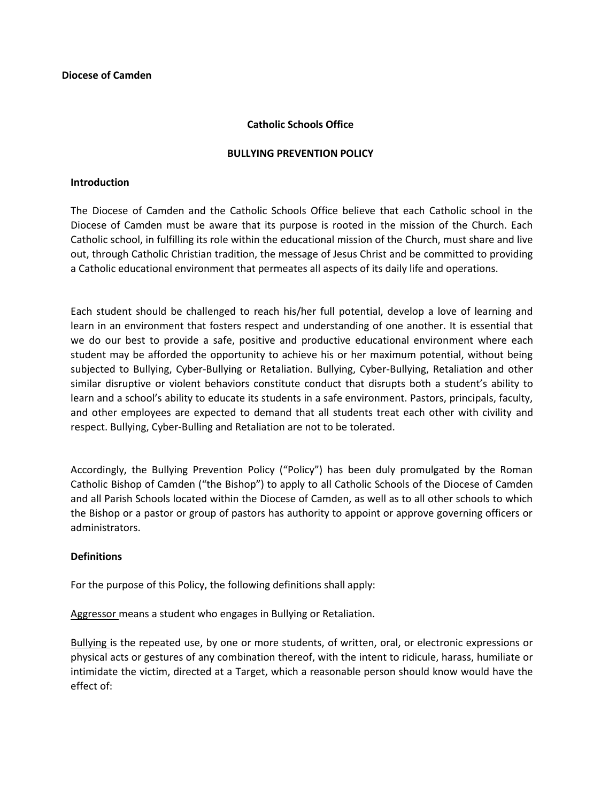### **Catholic Schools Office**

#### **BULLYING PREVENTION POLICY**

#### **Introduction**

The Diocese of Camden and the Catholic Schools Office believe that each Catholic school in the Diocese of Camden must be aware that its purpose is rooted in the mission of the Church. Each Catholic school, in fulfilling its role within the educational mission of the Church, must share and live out, through Catholic Christian tradition, the message of Jesus Christ and be committed to providing a Catholic educational environment that permeates all aspects of its daily life and operations.

Each student should be challenged to reach his/her full potential, develop a love of learning and learn in an environment that fosters respect and understanding of one another. It is essential that we do our best to provide a safe, positive and productive educational environment where each student may be afforded the opportunity to achieve his or her maximum potential, without being subjected to Bullying, Cyber-Bullying or Retaliation. Bullying, Cyber-Bullying, Retaliation and other similar disruptive or violent behaviors constitute conduct that disrupts both a student's ability to learn and a school's ability to educate its students in a safe environment. Pastors, principals, faculty, and other employees are expected to demand that all students treat each other with civility and respect. Bullying, Cyber-Bulling and Retaliation are not to be tolerated.

Accordingly, the Bullying Prevention Policy ("Policy") has been duly promulgated by the Roman Catholic Bishop of Camden ("the Bishop") to apply to all Catholic Schools of the Diocese of Camden and all Parish Schools located within the Diocese of Camden, as well as to all other schools to which the Bishop or a pastor or group of pastors has authority to appoint or approve governing officers or administrators.

### **Definitions**

For the purpose of this Policy, the following definitions shall apply:

Aggressor means a student who engages in Bullying or Retaliation.

Bullying is the repeated use, by one or more students, of written, oral, or electronic expressions or physical acts or gestures of any combination thereof, with the intent to ridicule, harass, humiliate or intimidate the victim, directed at a Target, which a reasonable person should know would have the effect of: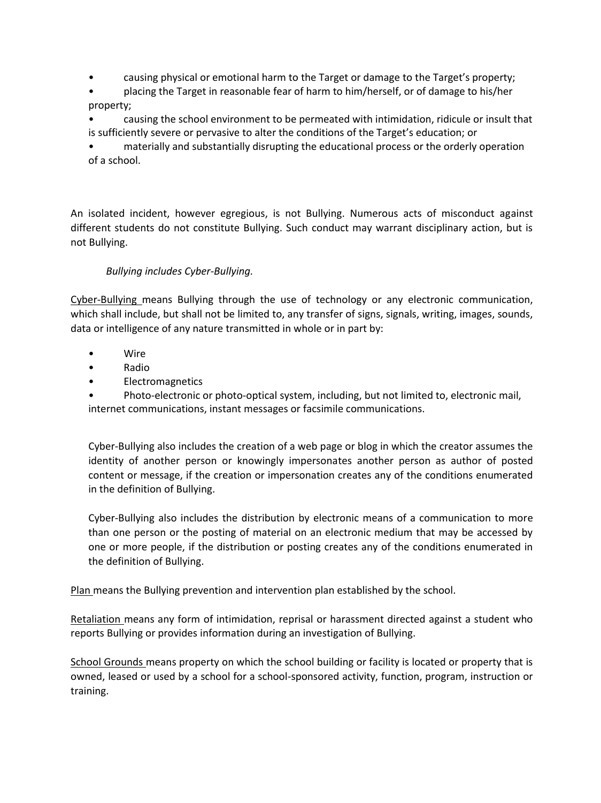- causing physical or emotional harm to the Target or damage to the Target's property;
- placing the Target in reasonable fear of harm to him/herself, or of damage to his/her property;

• causing the school environment to be permeated with intimidation, ridicule or insult that is sufficiently severe or pervasive to alter the conditions of the Target's education; or

• materially and substantially disrupting the educational process or the orderly operation of a school.

An isolated incident, however egregious, is not Bullying. Numerous acts of misconduct against different students do not constitute Bullying. Such conduct may warrant disciplinary action, but is not Bullying.

# *Bullying includes Cyber-Bullying.*

Cyber-Bullying means Bullying through the use of technology or any electronic communication, which shall include, but shall not be limited to, any transfer of signs, signals, writing, images, sounds, data or intelligence of any nature transmitted in whole or in part by:

- Wire
- Radio
- Electromagnetics

• Photo-electronic or photo-optical system, including, but not limited to, electronic mail, internet communications, instant messages or facsimile communications.

Cyber-Bullying also includes the creation of a web page or blog in which the creator assumes the identity of another person or knowingly impersonates another person as author of posted content or message, if the creation or impersonation creates any of the conditions enumerated in the definition of Bullying.

Cyber-Bullying also includes the distribution by electronic means of a communication to more than one person or the posting of material on an electronic medium that may be accessed by one or more people, if the distribution or posting creates any of the conditions enumerated in the definition of Bullying.

Plan means the Bullying prevention and intervention plan established by the school.

Retaliation means any form of intimidation, reprisal or harassment directed against a student who reports Bullying or provides information during an investigation of Bullying.

School Grounds means property on which the school building or facility is located or property that is owned, leased or used by a school for a school-sponsored activity, function, program, instruction or training.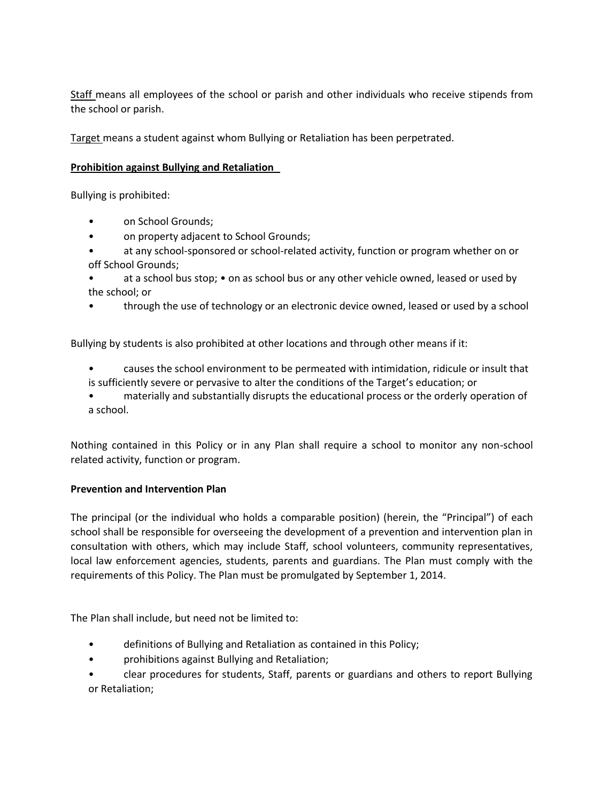Staff means all employees of the school or parish and other individuals who receive stipends from the school or parish.

Target means a student against whom Bullying or Retaliation has been perpetrated.

# **Prohibition against Bullying and Retaliation**

Bullying is prohibited:

- on School Grounds;
- on property adjacent to School Grounds;
- at any school-sponsored or school-related activity, function or program whether on or off School Grounds;
- at a school bus stop; on as school bus or any other vehicle owned, leased or used by the school; or
- through the use of technology or an electronic device owned, leased or used by a school

Bullying by students is also prohibited at other locations and through other means if it:

- causes the school environment to be permeated with intimidation, ridicule or insult that is sufficiently severe or pervasive to alter the conditions of the Target's education; or
- materially and substantially disrupts the educational process or the orderly operation of a school.

Nothing contained in this Policy or in any Plan shall require a school to monitor any non-school related activity, function or program.

### **Prevention and Intervention Plan**

The principal (or the individual who holds a comparable position) (herein, the "Principal") of each school shall be responsible for overseeing the development of a prevention and intervention plan in consultation with others, which may include Staff, school volunteers, community representatives, local law enforcement agencies, students, parents and guardians. The Plan must comply with the requirements of this Policy. The Plan must be promulgated by September 1, 2014.

The Plan shall include, but need not be limited to:

- definitions of Bullying and Retaliation as contained in this Policy;
- prohibitions against Bullying and Retaliation;
- clear procedures for students, Staff, parents or guardians and others to report Bullying or Retaliation;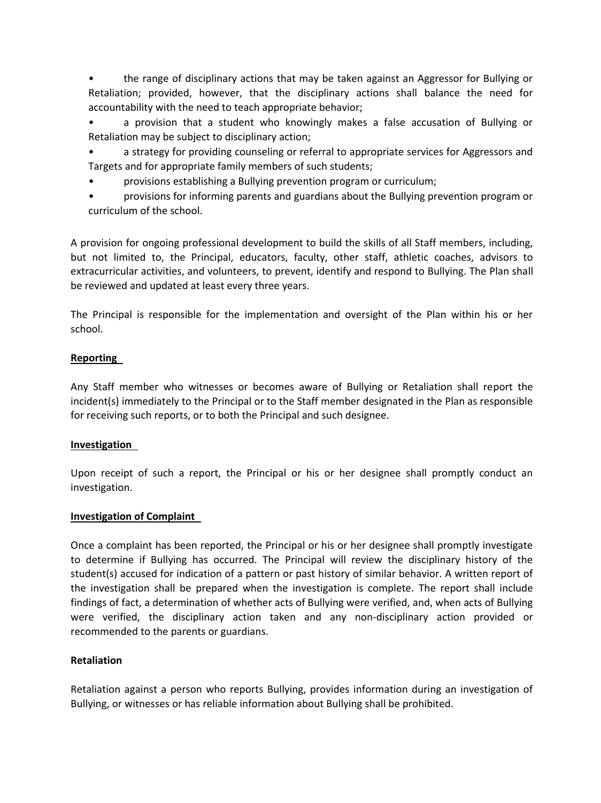• the range of disciplinary actions that may be taken against an Aggressor for Bullying or Retaliation; provided, however, that the disciplinary actions shall balance the need for accountability with the need to teach appropriate behavior;

• a provision that a student who knowingly makes a false accusation of Bullying or Retaliation may be subject to disciplinary action;

• a strategy for providing counseling or referral to appropriate services for Aggressors and Targets and for appropriate family members of such students;

• provisions establishing a Bullying prevention program or curriculum;

• provisions for informing parents and guardians about the Bullying prevention program or curriculum of the school.

A provision for ongoing professional development to build the skills of all Staff members, including, but not limited to, the Principal, educators, faculty, other staff, athletic coaches, advisors to extracurricular activities, and volunteers, to prevent, identify and respond to Bullying. The Plan shall be reviewed and updated at least every three years.

The Principal is responsible for the implementation and oversight of the Plan within his or her school.

# **Reporting**

Any Staff member who witnesses or becomes aware of Bullying or Retaliation shall report the incident(s) immediately to the Principal or to the Staff member designated in the Plan as responsible for receiving such reports, or to both the Principal and such designee.

# **Investigation**

Upon receipt of such a report, the Principal or his or her designee shall promptly conduct an investigation.

# **Investigation of Complaint**

Once a complaint has been reported, the Principal or his or her designee shall promptly investigate to determine if Bullying has occurred. The Principal will review the disciplinary history of the student(s) accused for indication of a pattern or past history of similar behavior. A written report of the investigation shall be prepared when the investigation is complete. The report shall include findings of fact, a determination of whether acts of Bullying were verified, and, when acts of Bullying were verified, the disciplinary action taken and any non-disciplinary action provided or recommended to the parents or guardians.

# **Retaliation**

Retaliation against a person who reports Bullying, provides information during an investigation of Bullying, or witnesses or has reliable information about Bullying shall be prohibited.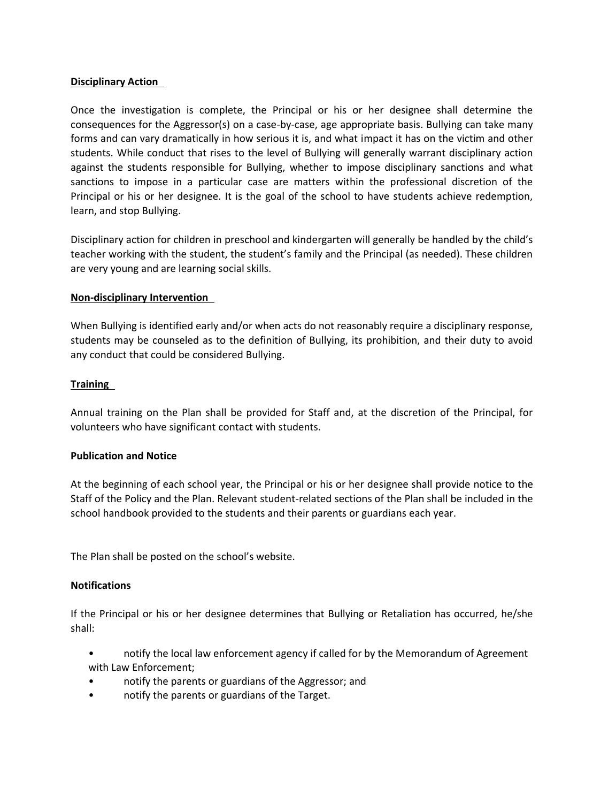## **Disciplinary Action**

Once the investigation is complete, the Principal or his or her designee shall determine the consequences for the Aggressor(s) on a case-by-case, age appropriate basis. Bullying can take many forms and can vary dramatically in how serious it is, and what impact it has on the victim and other students. While conduct that rises to the level of Bullying will generally warrant disciplinary action against the students responsible for Bullying, whether to impose disciplinary sanctions and what sanctions to impose in a particular case are matters within the professional discretion of the Principal or his or her designee. It is the goal of the school to have students achieve redemption, learn, and stop Bullying.

Disciplinary action for children in preschool and kindergarten will generally be handled by the child's teacher working with the student, the student's family and the Principal (as needed). These children are very young and are learning social skills.

## **Non-disciplinary Intervention**

When Bullying is identified early and/or when acts do not reasonably require a disciplinary response, students may be counseled as to the definition of Bullying, its prohibition, and their duty to avoid any conduct that could be considered Bullying.

## **Training**

Annual training on the Plan shall be provided for Staff and, at the discretion of the Principal, for volunteers who have significant contact with students.

### **Publication and Notice**

At the beginning of each school year, the Principal or his or her designee shall provide notice to the Staff of the Policy and the Plan. Relevant student-related sections of the Plan shall be included in the school handbook provided to the students and their parents or guardians each year.

The Plan shall be posted on the school's website.

### **Notifications**

If the Principal or his or her designee determines that Bullying or Retaliation has occurred, he/she shall:

• notify the local law enforcement agency if called for by the Memorandum of Agreement with Law Enforcement;

- notify the parents or guardians of the Aggressor; and
- notify the parents or guardians of the Target.